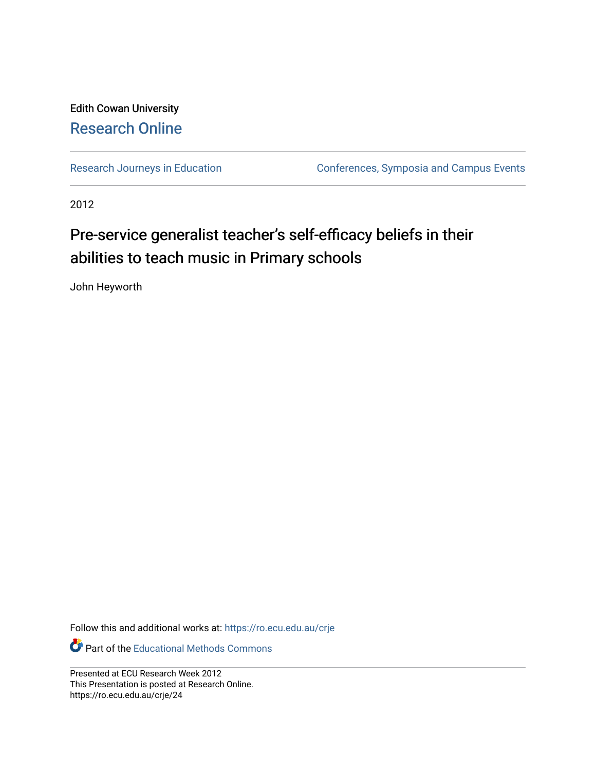#### Edith Cowan University [Research Online](https://ro.ecu.edu.au/)

[Research Journeys in Education](https://ro.ecu.edu.au/crje) **Conferences**, Symposia and Campus Events

2012

#### Pre-service generalist teacher's self-efficacy beliefs in their abilities to teach music in Primary schools

John Heyworth

Follow this and additional works at: [https://ro.ecu.edu.au/crje](https://ro.ecu.edu.au/crje?utm_source=ro.ecu.edu.au%2Fcrje%2F24&utm_medium=PDF&utm_campaign=PDFCoverPages) 

Part of the [Educational Methods Commons](http://network.bepress.com/hgg/discipline/1227?utm_source=ro.ecu.edu.au%2Fcrje%2F24&utm_medium=PDF&utm_campaign=PDFCoverPages) 

Presented at ECU Research Week 2012 This Presentation is posted at Research Online. https://ro.ecu.edu.au/crje/24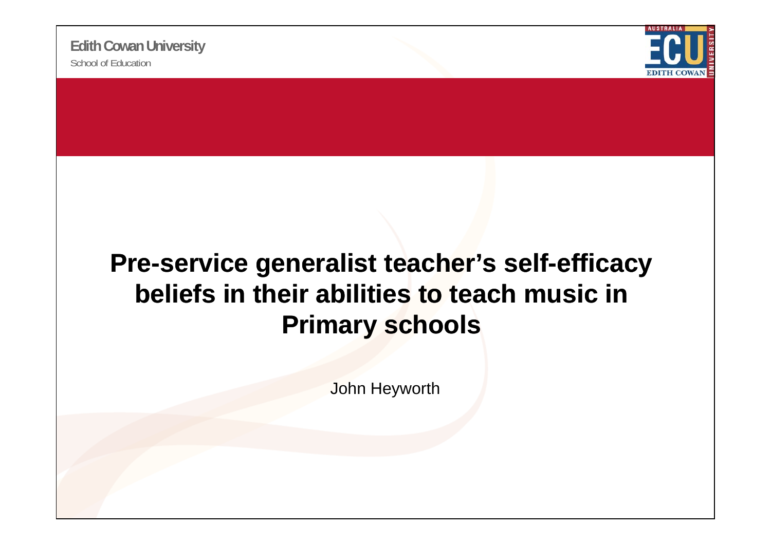

#### Pre-service generalist teacher's self-efficacy **beliefs in their abilities to teach music in Primary schools**

John Heyworth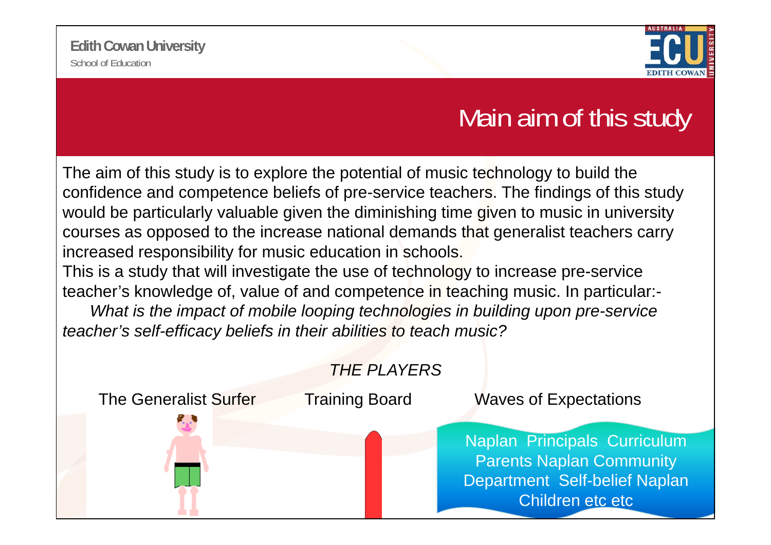

#### Main aim of this study

The aim of this study is to explore the potential of music technology to build the confidence and competence beliefs of pre-service teachers. The findings of this study would be particularly valuable given the diminishing time given to music in university courses as opposed to the increase national demands that generalist teachers carry increased responsibility for music education in schools.

This is a study that will investigate the use of technology to increase pre-service teacher's knowledge of, value of and competence in teaching music. In particular:-

*What is the impact of mobile looping technologies in building upon pre-service*  teacher's self-efficacy beliefs in their abilities to teach music?

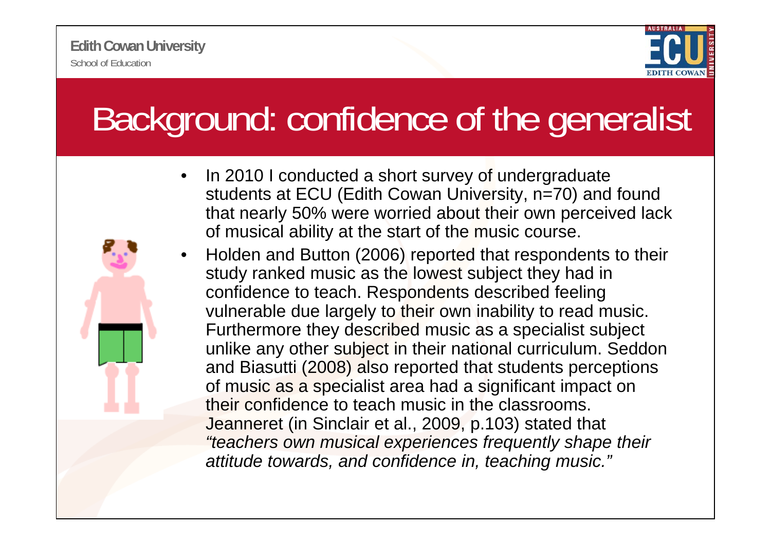

# Background: confidence of the generalist

- • In 2010 I conducted a short survey of undergraduate students at ECU (Edith Cowan University, n=70) and found that nearly 50% were worried about their own perceived lack of musical ability at the start of the music course.
- • Holden and Button (2006) reported that respondents to their study ranked music as the lowest subject they had in confidence to teach. Respondents described feeling vulnerable due largely to their own inability to read music. Furthermore they described music as a specialist subject unlike any other subject in their national curriculum. Seddon and Biasutti (2008) also reported that students perceptions of music as a specialist area had a significant impact on their confidence to teach music in the classrooms. Jeanneret (in Sinclair et al., 2009, p.103) stated that *"teachers own musical experiences frequently shape their*  attitude towards, and confidence in, teaching music."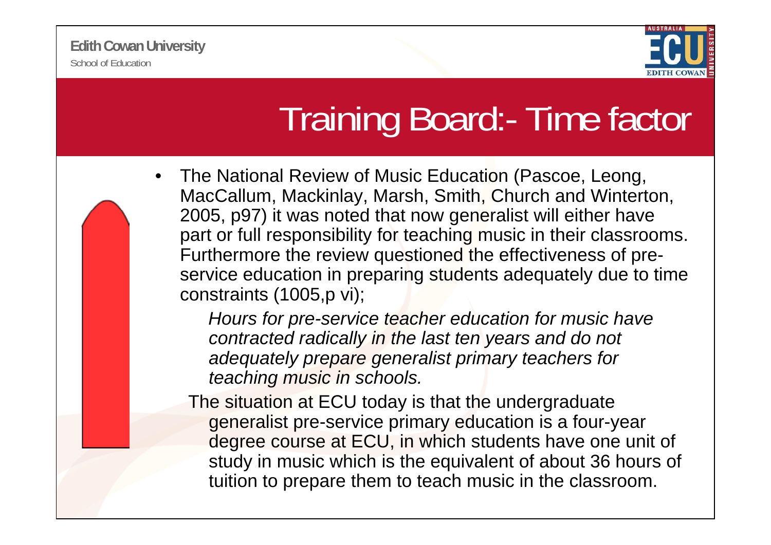

# Training Board:- Time factor

• The National Review of Music Education (Pascoe, Leong, MacCallum, Mackinlay, Marsh, Smith, Church and Winterton, 2005, p97) it was noted that now generalist will either have part or full responsibility for teaching music in their classrooms. Furthermore the review questioned the effectiveness of preservice education in preparing students adequately due to time constraints (1005,p vi);

*Hours for pre-service teacher education for music have*  contracted radically in the last ten years and do not *adequately prepare generalist primary teachers for teaching music in schools.*

The situation at ECU today is that the undergraduate generalist pre-service primary education is a four-year degree course at ECU, in which students have one unit of study in music which is the equivalent of about 36 hours of tuition to prepare them to teach music in the classroom.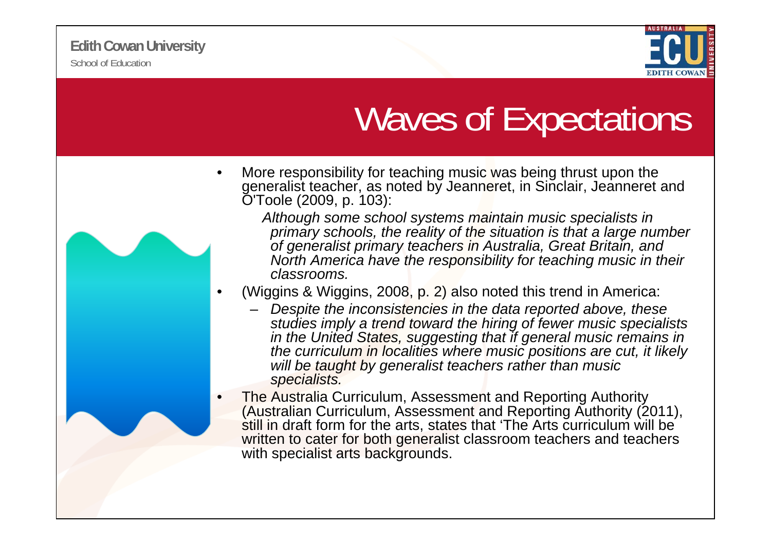•



## Waves of Expectations

- • More responsibility for teaching music was being thrust upon the generalist teacher, as noted by Jeanneret, in Sinclair, Jeanneret and O'Toole (2009, p. 103):
	- *Although some school systems maintain music specialists in primary schools, the reality of the situation is that a large number of generalist primary teachers in Australia, Great Britain, and North America have the responsibility for teaching music in their classrooms.*
	- (Wiggins & Wiggins, 2008, p. 2) also noted this trend in America:
		- *Despite the inconsistencies in the data reported above, these studies imply a trend toward the hiring of fewer music specialists*  in the United States, suggesting that if general music remains in *the curriculum in localities where music positions are cut, it likely will be taught by generalist teachers rather than music specialists.*

•The Australia Curriculum, Assessment and Reporting Authority (Australian Curriculum, Assessment and Reporting Authority (2011), still in draft form for the arts, states that 'The Arts curriculum will be written to cater for both generalist classroom teachers and teachers with specialist arts backgrounds.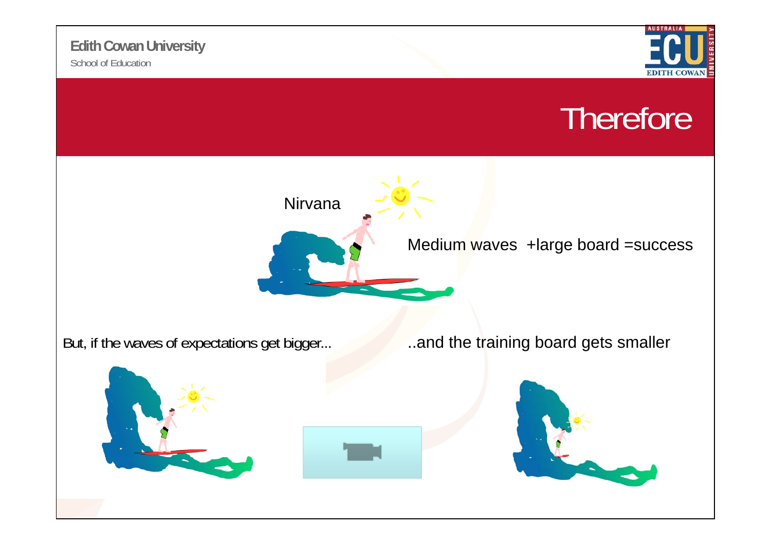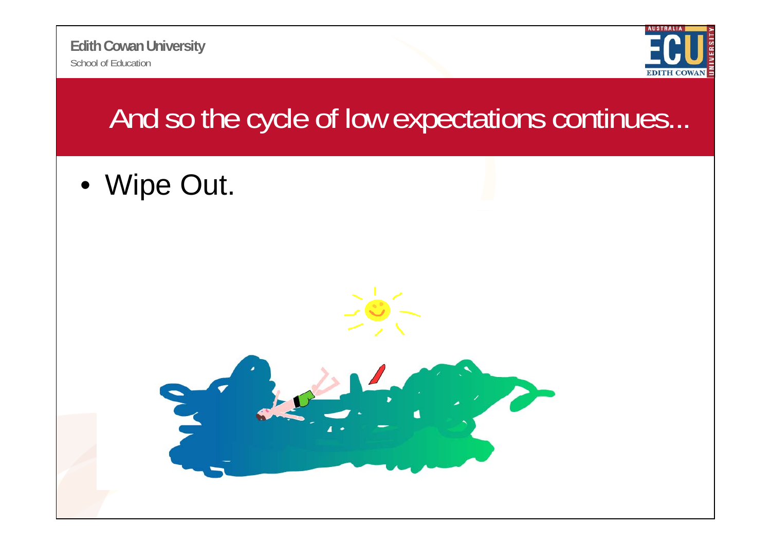School of Education**Edith Cowan University**



### And so the cycle of low expectations continues...

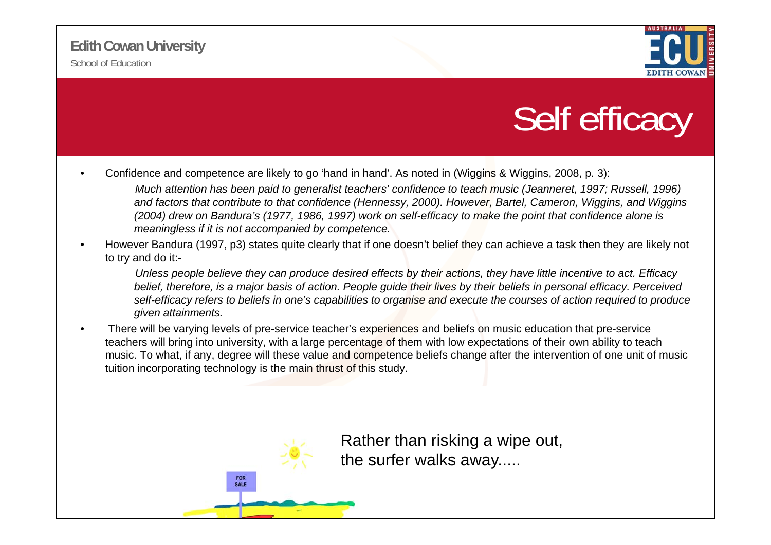

### Self efficacy

- • Confidence and competence are likely to go 'hand in hand'. As noted in (Wiggins & Wiggins, 2008, p. 3): *Much attention has been paid to generalist teachers' confidence to teach music (Jeanneret, 1997; Russell, 1996) and factors that contribute to that confidence (Hennessy, 2000). However, Bartel, Cameron, Wiggins, and Wiggins (2004) drew on Bandura's (1977, 1986, 1997) work on self-efficacy to make the point that confidence alone is meaningless if it is not accompanied by competence.*
- • However Bandura (1997, p3) states quite clearly that if one doesn't belief they can achieve a task then they are likely not to try and do it:-

Unless people believe they can produce desired effects by their actions, they have little incentive to act. Efficacy *belief, therefore, is a major basis of action. People guide their lives by their beliefs in personal efficacy. Perceived self-efficacy refers to beliefs in one's capabilities to organise and execute the courses of action required to produce given attainments.*

•There will be varying levels of pre-service teacher's experiences and beliefs on music education that pre-service teachers will bring into university, with a large percentage of them with low expectations of their own ability to teach music. To what, if any, degree will these value and competence beliefs change after the intervention of one unit of music tuition incorporating technology is the main thrust of this study.



Rather than risking a wipe out, the surfer walks away.....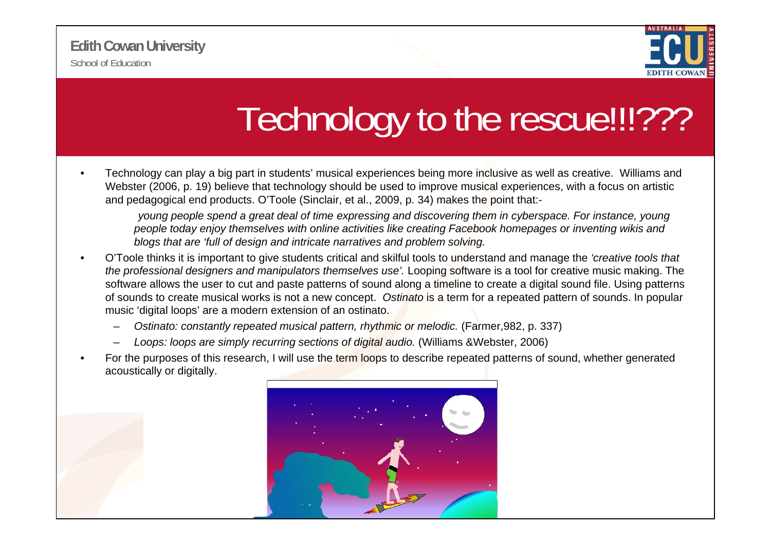

## Technology to the rescue!!!???

• Technology can play a big part in students' musical experiences being more inclusive as well as creative. Williams and Webster (2006, p. 19) believe that technology should be used to improve musical experiences, with a focus on artistic and pedagogical end products. O'Toole (Sinclair, et al., 2009, p. 34) makes the point that:-

*young people spend a great deal of time expressing and discovering them in cyberspace. For instance, young people today enjoy themselves with online activities like creating Facebook homepages or inventing wikis and blogs that are 'full of design and intricate narratives and problem solving.* 

- • O'Toole thinks it is important to give students critical and skilful tools to understand and manage the *'creative tools that*  the professional designers and manipulators themselves use'. Looping software is a tool for creative music making. The software allows the user to cut and paste patterns of sound along a timeline to create a digital sound file. Using patterns of sounds to create musical works is not a new concept. *Ostinato* is a term for a repeated pattern of sounds. In popular music 'digital loops' are a modern extension of an ostinato.
	- *Ostinato: constantly repeated musical pattern, rhythmic or melodic.* (Farmer, 982, p. 337)
	- *Loops: loops are simply recurring sections of digital audio.* (Williams &Webster, 2006)
- • For the purposes of this research, I will use the term loops to describe repeated patterns of sound, whether generated acoustically or digitally.

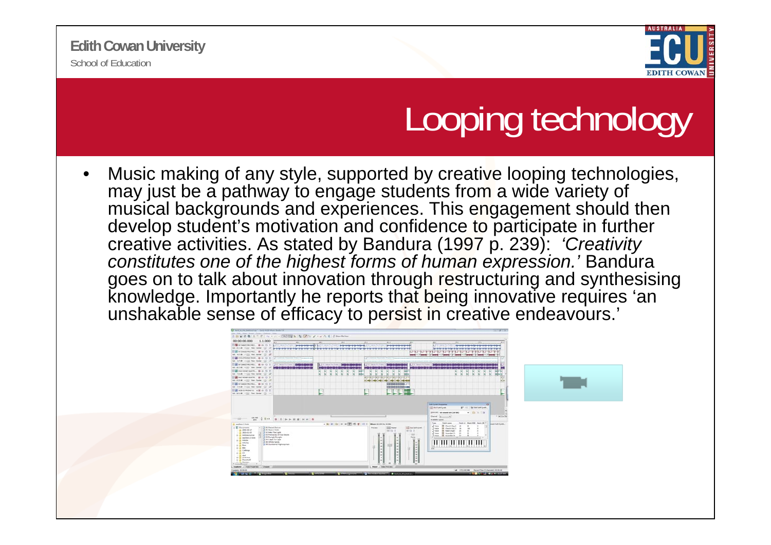

# Looping technology

• Music making of any style, supported by creative looping technologies, may just be a pathway to engage students from a wide variety of musical backgrounds and experiences. This engagement should then develop student's motivation and confidence to participate in further creative activities. As stated by Bandura (1997 p. 239): *'Creativity constitutes one of the highest forms of human expression.'* Bandura goes on to talk about innovation through restructuring and synthesising knowledge. Importantly he reports that being innovative requires 'an unshakable sense of efficacy to persist in creative endeavours.'